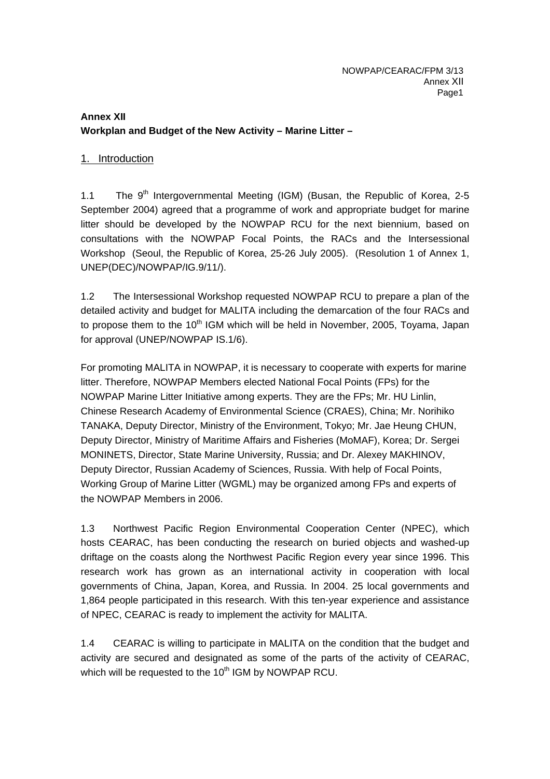# **Annex XII Workplan and Budget of the New Activity – Marine Litter –**

### 1. Introduction

1.1 The  $9<sup>th</sup>$  Intergovernmental Meeting (IGM) (Busan, the Republic of Korea, 2-5 September 2004) agreed that a programme of work and appropriate budget for marine litter should be developed by the NOWPAP RCU for the next biennium, based on consultations with the NOWPAP Focal Points, the RACs and the Intersessional Workshop (Seoul, the Republic of Korea, 25-26 July 2005). (Resolution 1 of Annex 1, UNEP(DEC)/NOWPAP/IG.9/11/).

1.2 The Intersessional Workshop requested NOWPAP RCU to prepare a plan of the detailed activity and budget for MALITA including the demarcation of the four RACs and to propose them to the  $10<sup>th</sup>$  IGM which will be held in November, 2005, Toyama, Japan for approval (UNEP/NOWPAP IS.1/6).

For promoting MALITA in NOWPAP, it is necessary to cooperate with experts for marine litter. Therefore, NOWPAP Members elected National Focal Points (FPs) for the NOWPAP Marine Litter Initiative among experts. They are the FPs; Mr. HU Linlin, Chinese Research Academy of Environmental Science (CRAES), China; Mr. Norihiko TANAKA, Deputy Director, Ministry of the Environment, Tokyo; Mr. Jae Heung CHUN, Deputy Director, Ministry of Maritime Affairs and Fisheries (MoMAF), Korea; Dr. Sergei MONINETS, Director, State Marine University, Russia; and Dr. Alexey MAKHINOV, Deputy Director, Russian Academy of Sciences, Russia. With help of Focal Points, Working Group of Marine Litter (WGML) may be organized among FPs and experts of the NOWPAP Members in 2006.

1.3 Northwest Pacific Region Environmental Cooperation Center (NPEC), which hosts CEARAC, has been conducting the research on buried objects and washed-up driftage on the coasts along the Northwest Pacific Region every year since 1996. This research work has grown as an international activity in cooperation with local governments of China, Japan, Korea, and Russia. In 2004. 25 local governments and 1,864 people participated in this research. With this ten-year experience and assistance of NPEC, CEARAC is ready to implement the activity for MALITA.

1.4 CEARAC is willing to participate in MALITA on the condition that the budget and activity are secured and designated as some of the parts of the activity of CEARAC, which will be requested to the 10<sup>th</sup> IGM by NOWPAP RCU.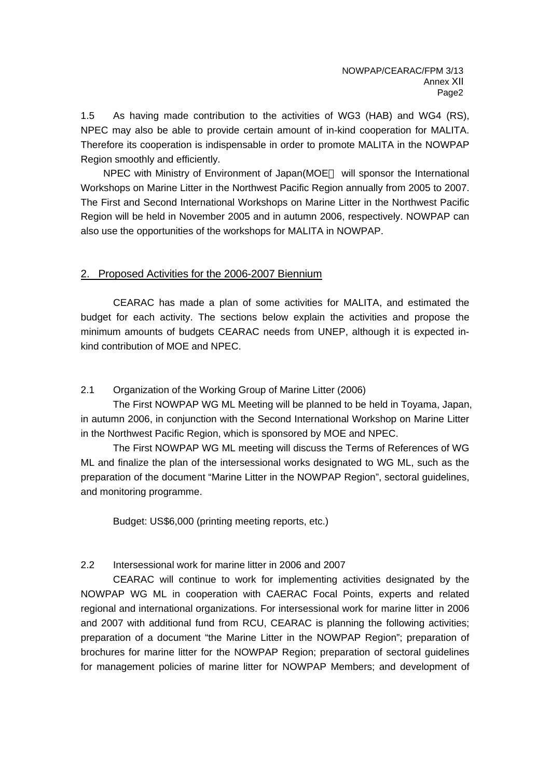1.5 As having made contribution to the activities of WG3 (HAB) and WG4 (RS), NPEC may also be able to provide certain amount of in-kind cooperation for MALITA. Therefore its cooperation is indispensable in order to promote MALITA in the NOWPAP Region smoothly and efficiently.

NPEC with Ministry of Environment of Japan(MOE will sponsor the International Workshops on Marine Litter in the Northwest Pacific Region annually from 2005 to 2007. The First and Second International Workshops on Marine Litter in the Northwest Pacific Region will be held in November 2005 and in autumn 2006, respectively. NOWPAP can also use the opportunities of the workshops for MALITA in NOWPAP.

### 2. Proposed Activities for the 2006-2007 Biennium

CEARAC has made a plan of some activities for MALITA, and estimated the budget for each activity. The sections below explain the activities and propose the minimum amounts of budgets CEARAC needs from UNEP, although it is expected inkind contribution of MOE and NPEC.

### 2.1 Organization of the Working Group of Marine Litter (2006)

The First NOWPAP WG ML Meeting will be planned to be held in Toyama, Japan, in autumn 2006, in conjunction with the Second International Workshop on Marine Litter in the Northwest Pacific Region, which is sponsored by MOE and NPEC.

The First NOWPAP WG ML meeting will discuss the Terms of References of WG ML and finalize the plan of the intersessional works designated to WG ML, such as the preparation of the document "Marine Litter in the NOWPAP Region", sectoral guidelines, and monitoring programme.

Budget: US\$6,000 (printing meeting reports, etc.)

## 2.2 Intersessional work for marine litter in 2006 and 2007

CEARAC will continue to work for implementing activities designated by the NOWPAP WG ML in cooperation with CAERAC Focal Points, experts and related regional and international organizations. For intersessional work for marine litter in 2006 and 2007 with additional fund from RCU, CEARAC is planning the following activities; preparation of a document "the Marine Litter in the NOWPAP Region"; preparation of brochures for marine litter for the NOWPAP Region; preparation of sectoral guidelines for management policies of marine litter for NOWPAP Members; and development of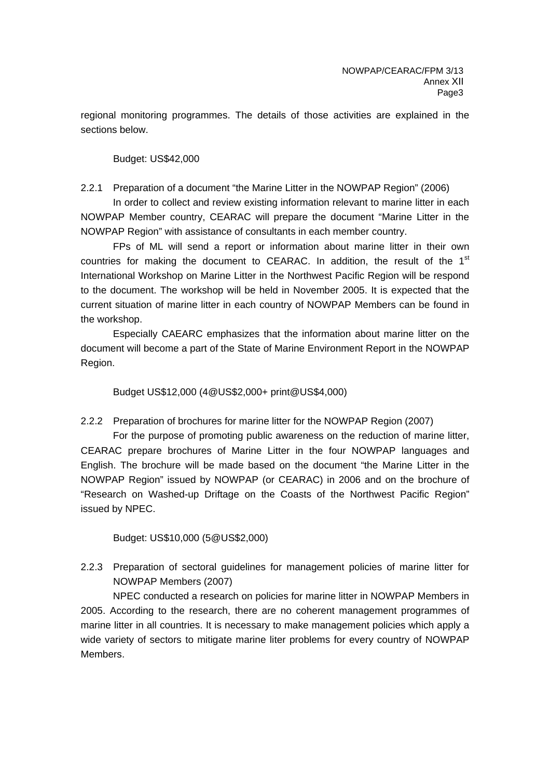regional monitoring programmes. The details of those activities are explained in the sections below.

#### Budget: US\$42,000

2.2.1 Preparation of a document "the Marine Litter in the NOWPAP Region" (2006)

In order to collect and review existing information relevant to marine litter in each NOWPAP Member country, CEARAC will prepare the document "Marine Litter in the NOWPAP Region" with assistance of consultants in each member country.

FPs of ML will send a report or information about marine litter in their own countries for making the document to CEARAC. In addition, the result of the  $1<sup>st</sup>$ International Workshop on Marine Litter in the Northwest Pacific Region will be respond to the document. The workshop will be held in November 2005. It is expected that the current situation of marine litter in each country of NOWPAP Members can be found in the workshop.

Especially CAEARC emphasizes that the information about marine litter on the document will become a part of the State of Marine Environment Report in the NOWPAP Region.

Budget US\$12,000 (4@US\$2,000+ print@US\$4,000)

2.2.2 Preparation of brochures for marine litter for the NOWPAP Region (2007)

For the purpose of promoting public awareness on the reduction of marine litter, CEARAC prepare brochures of Marine Litter in the four NOWPAP languages and English. The brochure will be made based on the document "the Marine Litter in the NOWPAP Region" issued by NOWPAP (or CEARAC) in 2006 and on the brochure of "Research on Washed-up Driftage on the Coasts of the Northwest Pacific Region" issued by NPEC.

Budget: US\$10,000 (5@US\$2,000)

2.2.3 Preparation of sectoral guidelines for management policies of marine litter for NOWPAP Members (2007)

NPEC conducted a research on policies for marine litter in NOWPAP Members in 2005. According to the research, there are no coherent management programmes of marine litter in all countries. It is necessary to make management policies which apply a wide variety of sectors to mitigate marine liter problems for every country of NOWPAP Members.